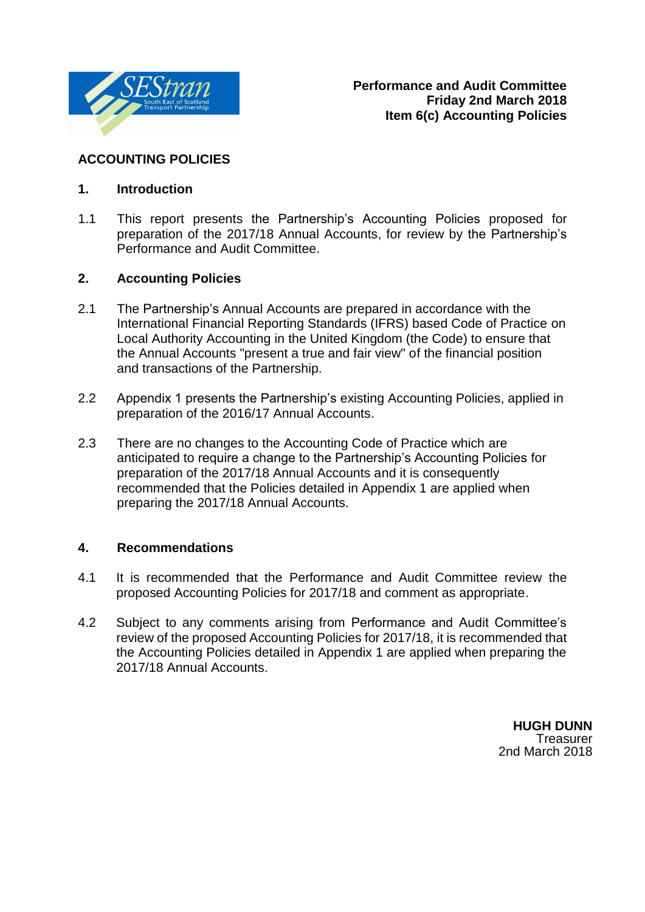

### **ACCOUNTING POLICIES**

### **1. Introduction**

1.1 This report presents the Partnership's Accounting Policies proposed for preparation of the 2017/18 Annual Accounts, for review by the Partnership's Performance and Audit Committee.

### **2. Accounting Policies**

- 2.1 The Partnership's Annual Accounts are prepared in accordance with the International Financial Reporting Standards (IFRS) based Code of Practice on Local Authority Accounting in the United Kingdom (the Code) to ensure that the Annual Accounts "present a true and fair view" of the financial position and transactions of the Partnership.
- 2.2 Appendix 1 presents the Partnership's existing Accounting Policies, applied in preparation of the 2016/17 Annual Accounts.
- 2.3 There are no changes to the Accounting Code of Practice which are anticipated to require a change to the Partnership's Accounting Policies for preparation of the 2017/18 Annual Accounts and it is consequently recommended that the Policies detailed in Appendix 1 are applied when preparing the 2017/18 Annual Accounts.

#### **4. Recommendations**

- 4.1 It is recommended that the Performance and Audit Committee review the proposed Accounting Policies for 2017/18 and comment as appropriate.
- 4.2 Subject to any comments arising from Performance and Audit Committee's review of the proposed Accounting Policies for 2017/18, it is recommended that the Accounting Policies detailed in Appendix 1 are applied when preparing the 2017/18 Annual Accounts.

**HUGH DUNN Treasurer** 2nd March 2018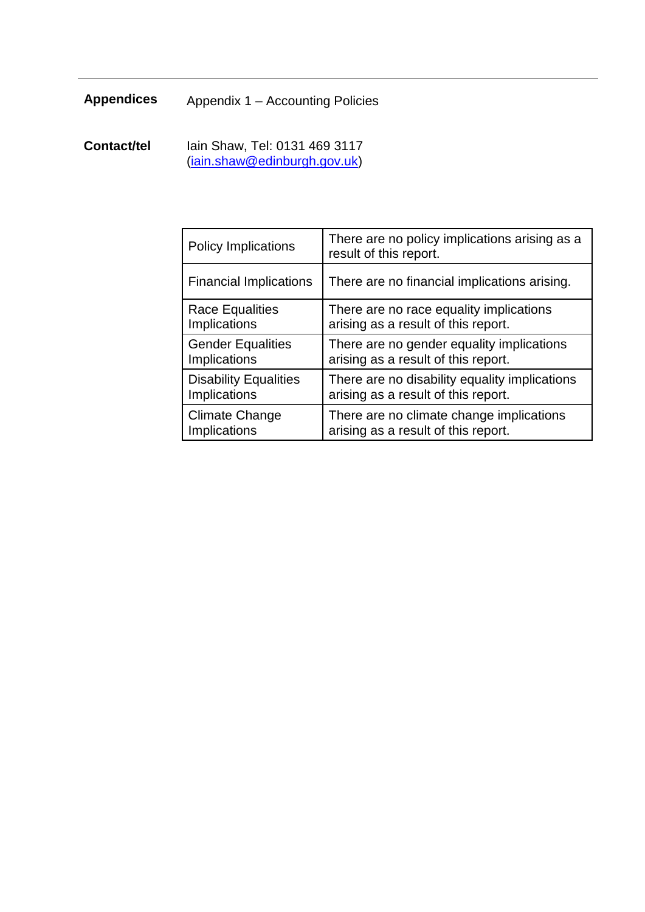# **Appendices** Appendix 1 – Accounting Policies

**Contact/tel** Iain Shaw, Tel: 0131 469 3117 [\(iain.shaw@edinburgh.gov.uk\)](mailto:iain.shaw@edinburgh.gov.uk)

| <b>Policy Implications</b>    | There are no policy implications arising as a<br>result of this report. |
|-------------------------------|-------------------------------------------------------------------------|
| <b>Financial Implications</b> | There are no financial implications arising.                            |
| <b>Race Equalities</b>        | There are no race equality implications                                 |
| Implications                  | arising as a result of this report.                                     |
| <b>Gender Equalities</b>      | There are no gender equality implications                               |
| <b>Implications</b>           | arising as a result of this report.                                     |
| <b>Disability Equalities</b>  | There are no disability equality implications                           |
| <b>Implications</b>           | arising as a result of this report.                                     |
| Climate Change                | There are no climate change implications                                |
| <b>Implications</b>           | arising as a result of this report.                                     |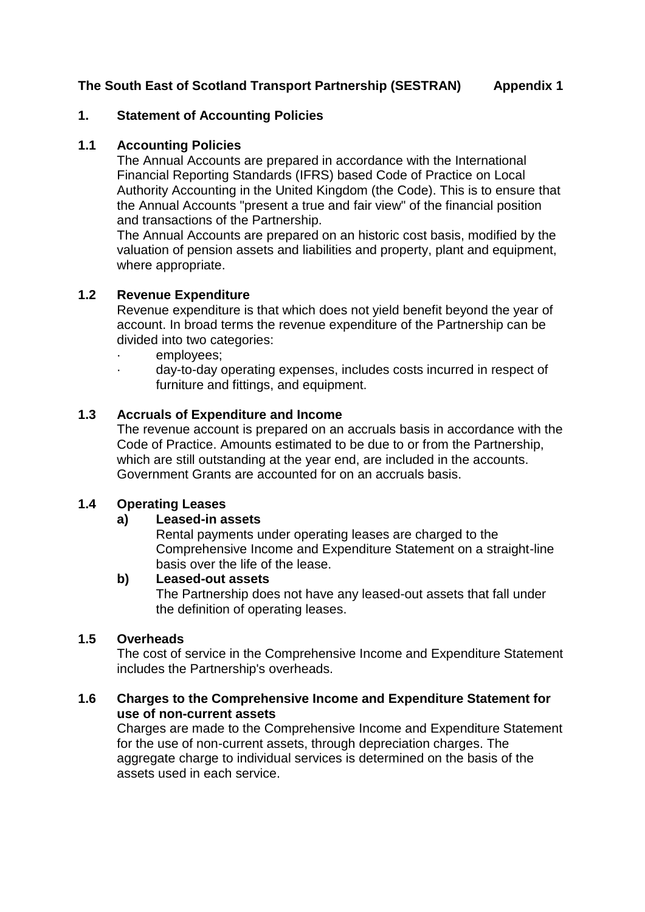#### **1. Statement of Accounting Policies**

#### **1.1 Accounting Policies**

The Annual Accounts are prepared in accordance with the International Financial Reporting Standards (IFRS) based Code of Practice on Local Authority Accounting in the United Kingdom (the Code). This is to ensure that the Annual Accounts "present a true and fair view" of the financial position and transactions of the Partnership.

The Annual Accounts are prepared on an historic cost basis, modified by the valuation of pension assets and liabilities and property, plant and equipment, where appropriate.

#### **1.2 Revenue Expenditure**

Revenue expenditure is that which does not yield benefit beyond the year of account. In broad terms the revenue expenditure of the Partnership can be divided into two categories:

- employees:
- · day-to-day operating expenses, includes costs incurred in respect of furniture and fittings, and equipment.

#### **1.3 Accruals of Expenditure and Income**

The revenue account is prepared on an accruals basis in accordance with the Code of Practice. Amounts estimated to be due to or from the Partnership, which are still outstanding at the year end, are included in the accounts. Government Grants are accounted for on an accruals basis.

#### **1.4 Operating Leases**

#### **a) Leased-in assets**

Rental payments under operating leases are charged to the Comprehensive Income and Expenditure Statement on a straight-line basis over the life of the lease.

#### **b) Leased-out assets**

The Partnership does not have any leased-out assets that fall under the definition of operating leases.

#### **1.5 Overheads**

The cost of service in the Comprehensive Income and Expenditure Statement includes the Partnership's overheads.

#### **1.6 Charges to the Comprehensive Income and Expenditure Statement for use of non-current assets**

Charges are made to the Comprehensive Income and Expenditure Statement for the use of non-current assets, through depreciation charges. The aggregate charge to individual services is determined on the basis of the assets used in each service.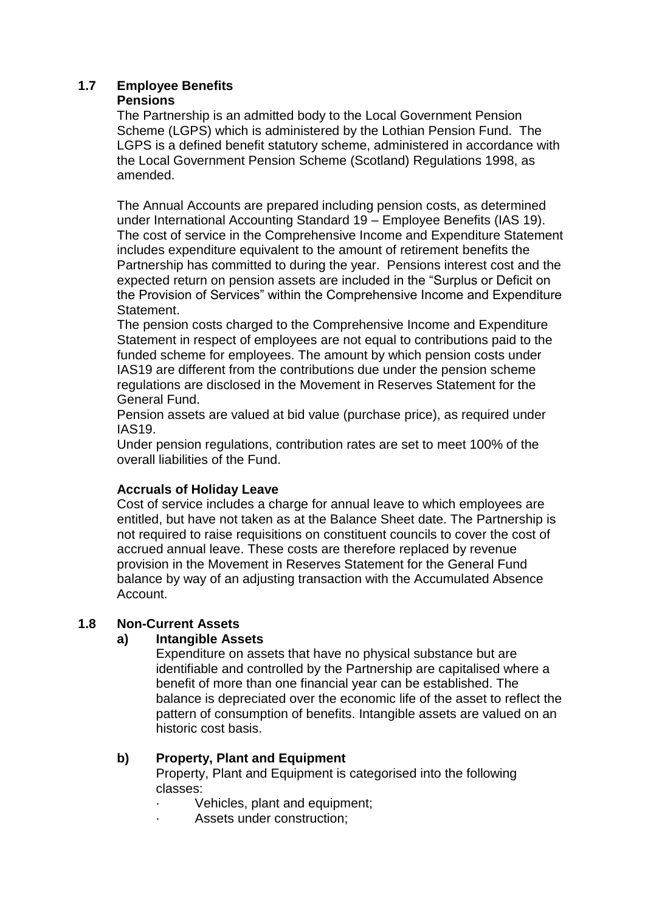### **1.7 Employee Benefits**

#### **Pensions**

The Partnership is an admitted body to the Local Government Pension Scheme (LGPS) which is administered by the Lothian Pension Fund. The LGPS is a defined benefit statutory scheme, administered in accordance with the Local Government Pension Scheme (Scotland) Regulations 1998, as amended.

The Annual Accounts are prepared including pension costs, as determined under International Accounting Standard 19 – Employee Benefits (IAS 19). The cost of service in the Comprehensive Income and Expenditure Statement includes expenditure equivalent to the amount of retirement benefits the Partnership has committed to during the year. Pensions interest cost and the expected return on pension assets are included in the "Surplus or Deficit on the Provision of Services" within the Comprehensive Income and Expenditure Statement.

The pension costs charged to the Comprehensive Income and Expenditure Statement in respect of employees are not equal to contributions paid to the funded scheme for employees. The amount by which pension costs under IAS19 are different from the contributions due under the pension scheme regulations are disclosed in the Movement in Reserves Statement for the General Fund.

Pension assets are valued at bid value (purchase price), as required under IAS19.

Under pension regulations, contribution rates are set to meet 100% of the overall liabilities of the Fund.

## **Accruals of Holiday Leave**

Cost of service includes a charge for annual leave to which employees are entitled, but have not taken as at the Balance Sheet date. The Partnership is not required to raise requisitions on constituent councils to cover the cost of accrued annual leave. These costs are therefore replaced by revenue provision in the Movement in Reserves Statement for the General Fund balance by way of an adjusting transaction with the Accumulated Absence Account.

### **1.8 Non-Current Assets**

### **a) Intangible Assets**

Expenditure on assets that have no physical substance but are identifiable and controlled by the Partnership are capitalised where a benefit of more than one financial year can be established. The balance is depreciated over the economic life of the asset to reflect the pattern of consumption of benefits. Intangible assets are valued on an historic cost basis.

### **b) Property, Plant and Equipment**

Property, Plant and Equipment is categorised into the following classes:

- Vehicles, plant and equipment;
- Assets under construction;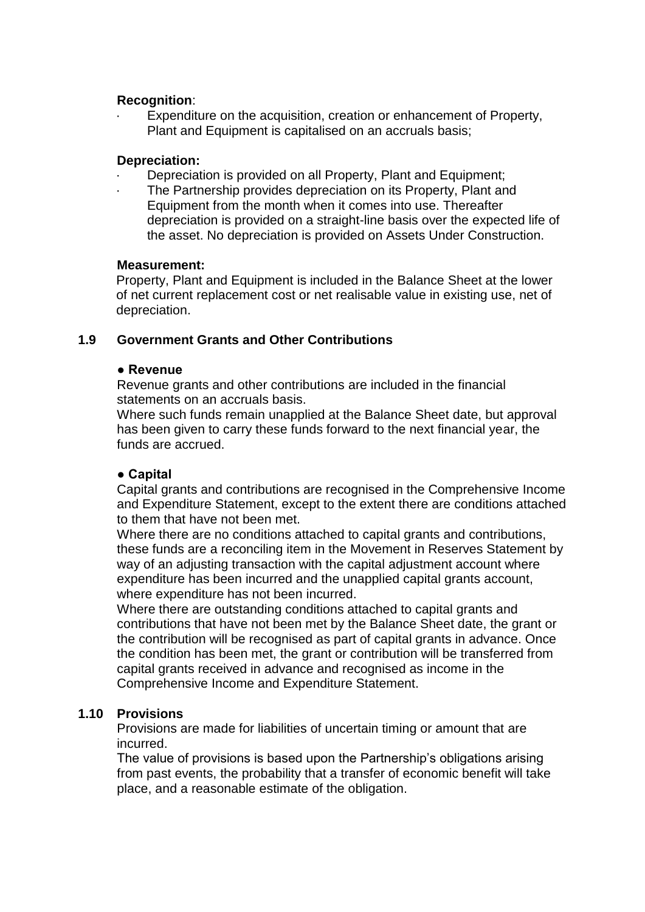#### **Recognition**:

Expenditure on the acquisition, creation or enhancement of Property, Plant and Equipment is capitalised on an accruals basis;

#### **Depreciation:**

- Depreciation is provided on all Property, Plant and Equipment;
- The Partnership provides depreciation on its Property, Plant and Equipment from the month when it comes into use. Thereafter depreciation is provided on a straight-line basis over the expected life of the asset. No depreciation is provided on Assets Under Construction.

#### **Measurement:**

Property, Plant and Equipment is included in the Balance Sheet at the lower of net current replacement cost or net realisable value in existing use, net of depreciation.

#### **1.9 Government Grants and Other Contributions**

#### **● Revenue**

Revenue grants and other contributions are included in the financial statements on an accruals basis.

Where such funds remain unapplied at the Balance Sheet date, but approval has been given to carry these funds forward to the next financial year, the funds are accrued.

#### **● Capital**

Capital grants and contributions are recognised in the Comprehensive Income and Expenditure Statement, except to the extent there are conditions attached to them that have not been met.

Where there are no conditions attached to capital grants and contributions, these funds are a reconciling item in the Movement in Reserves Statement by way of an adjusting transaction with the capital adjustment account where expenditure has been incurred and the unapplied capital grants account, where expenditure has not been incurred.

Where there are outstanding conditions attached to capital grants and contributions that have not been met by the Balance Sheet date, the grant or the contribution will be recognised as part of capital grants in advance. Once the condition has been met, the grant or contribution will be transferred from capital grants received in advance and recognised as income in the Comprehensive Income and Expenditure Statement.

### **1.10 Provisions**

Provisions are made for liabilities of uncertain timing or amount that are incurred.

The value of provisions is based upon the Partnership's obligations arising from past events, the probability that a transfer of economic benefit will take place, and a reasonable estimate of the obligation.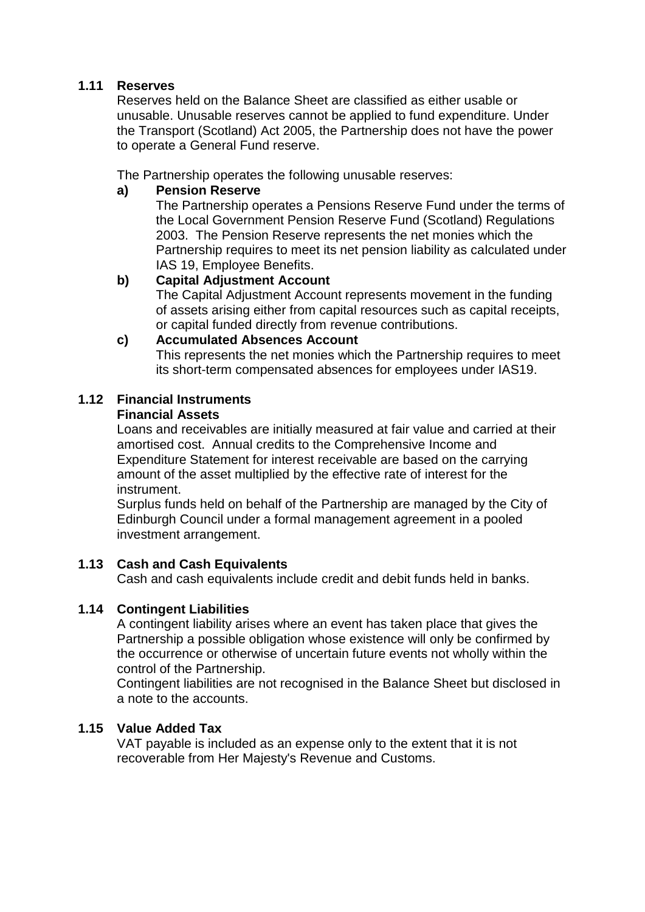### **1.11 Reserves**

Reserves held on the Balance Sheet are classified as either usable or unusable. Unusable reserves cannot be applied to fund expenditure. Under the Transport (Scotland) Act 2005, the Partnership does not have the power to operate a General Fund reserve.

The Partnership operates the following unusable reserves:

### **a) Pension Reserve**

The Partnership operates a Pensions Reserve Fund under the terms of the Local Government Pension Reserve Fund (Scotland) Regulations 2003. The Pension Reserve represents the net monies which the Partnership requires to meet its net pension liability as calculated under IAS 19, Employee Benefits.

### **b) Capital Adjustment Account**

The Capital Adjustment Account represents movement in the funding of assets arising either from capital resources such as capital receipts, or capital funded directly from revenue contributions.

### **c) Accumulated Absences Account**

This represents the net monies which the Partnership requires to meet its short-term compensated absences for employees under IAS19.

# **1.12 Financial Instruments**

#### **Financial Assets**

Loans and receivables are initially measured at fair value and carried at their amortised cost. Annual credits to the Comprehensive Income and Expenditure Statement for interest receivable are based on the carrying amount of the asset multiplied by the effective rate of interest for the instrument.

Surplus funds held on behalf of the Partnership are managed by the City of Edinburgh Council under a formal management agreement in a pooled investment arrangement.

### **1.13 Cash and Cash Equivalents**

Cash and cash equivalents include credit and debit funds held in banks.

### **1.14 Contingent Liabilities**

A contingent liability arises where an event has taken place that gives the Partnership a possible obligation whose existence will only be confirmed by the occurrence or otherwise of uncertain future events not wholly within the control of the Partnership.

Contingent liabilities are not recognised in the Balance Sheet but disclosed in a note to the accounts.

### **1.15 Value Added Tax**

VAT payable is included as an expense only to the extent that it is not recoverable from Her Majesty's Revenue and Customs.